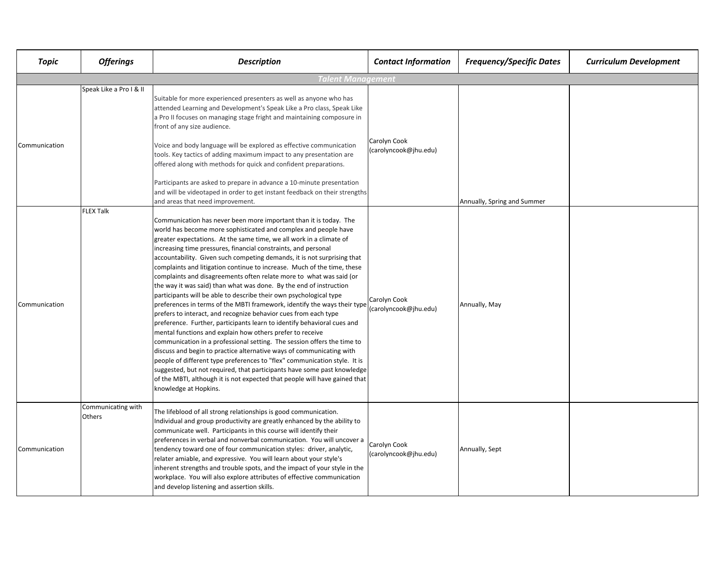| Topic             | <b>Offerings</b>             | <b>Description</b>                                                                                                                                                                                                                                                                                                                                                                                                                                                                                                                                                                                                                                                                                                                                                                                                                                                                                                                                                                                                                                                                                                                                                                                                                                                                                                                                              | <b>Contact Information</b>            | <b>Frequency/Specific Dates</b> | <b>Curriculum Development</b> |  |  |  |
|-------------------|------------------------------|-----------------------------------------------------------------------------------------------------------------------------------------------------------------------------------------------------------------------------------------------------------------------------------------------------------------------------------------------------------------------------------------------------------------------------------------------------------------------------------------------------------------------------------------------------------------------------------------------------------------------------------------------------------------------------------------------------------------------------------------------------------------------------------------------------------------------------------------------------------------------------------------------------------------------------------------------------------------------------------------------------------------------------------------------------------------------------------------------------------------------------------------------------------------------------------------------------------------------------------------------------------------------------------------------------------------------------------------------------------------|---------------------------------------|---------------------------------|-------------------------------|--|--|--|
| Talent Management |                              |                                                                                                                                                                                                                                                                                                                                                                                                                                                                                                                                                                                                                                                                                                                                                                                                                                                                                                                                                                                                                                                                                                                                                                                                                                                                                                                                                                 |                                       |                                 |                               |  |  |  |
| Communication     | Speak Like a Pro I & II      | Suitable for more experienced presenters as well as anyone who has<br>attended Learning and Development's Speak Like a Pro class, Speak Like<br>a Pro II focuses on managing stage fright and maintaining composure in<br>front of any size audience.                                                                                                                                                                                                                                                                                                                                                                                                                                                                                                                                                                                                                                                                                                                                                                                                                                                                                                                                                                                                                                                                                                           | Carolyn Cook<br>(carolyncook@jhu.edu) |                                 |                               |  |  |  |
|                   |                              | Voice and body language will be explored as effective communication<br>tools. Key tactics of adding maximum impact to any presentation are<br>offered along with methods for quick and confident preparations.                                                                                                                                                                                                                                                                                                                                                                                                                                                                                                                                                                                                                                                                                                                                                                                                                                                                                                                                                                                                                                                                                                                                                  |                                       |                                 |                               |  |  |  |
|                   |                              | Participants are asked to prepare in advance a 10-minute presentation<br>and will be videotaped in order to get instant feedback on their strengths<br>and areas that need improvement.                                                                                                                                                                                                                                                                                                                                                                                                                                                                                                                                                                                                                                                                                                                                                                                                                                                                                                                                                                                                                                                                                                                                                                         |                                       | Annually, Spring and Summer     |                               |  |  |  |
| Communication     | <b>FLEX Talk</b>             | Communication has never been more important than it is today. The<br>world has become more sophisticated and complex and people have<br>greater expectations. At the same time, we all work in a climate of<br>increasing time pressures, financial constraints, and personal<br>accountability. Given such competing demands, it is not surprising that<br>complaints and litigation continue to increase. Much of the time, these<br>complaints and disagreements often relate more to what was said (or<br>the way it was said) than what was done. By the end of instruction<br>participants will be able to describe their own psychological type<br>preferences in terms of the MBTI framework, identify the ways their type<br>prefers to interact, and recognize behavior cues from each type<br>preference. Further, participants learn to identify behavioral cues and<br>mental functions and explain how others prefer to receive<br>communication in a professional setting. The session offers the time to<br>discuss and begin to practice alternative ways of communicating with<br>people of different type preferences to "flex" communication style. It is<br>suggested, but not required, that participants have some past knowledge<br>of the MBTI, although it is not expected that people will have gained that<br>knowledge at Hopkins. | Carolyn Cook<br>(carolyncook@jhu.edu) | Annually, May                   |                               |  |  |  |
| Communication     | Communicating with<br>Others | The lifeblood of all strong relationships is good communication.<br>Individual and group productivity are greatly enhanced by the ability to<br>communicate well. Participants in this course will identify their<br>preferences in verbal and nonverbal communication. You will uncover a<br>tendency toward one of four communication styles: driver, analytic,<br>relater amiable, and expressive. You will learn about your style's<br>inherent strengths and trouble spots, and the impact of your style in the<br>workplace. You will also explore attributes of effective communication<br>and develop listening and assertion skills.                                                                                                                                                                                                                                                                                                                                                                                                                                                                                                                                                                                                                                                                                                                   | Carolyn Cook<br>(carolyncook@jhu.edu) | Annually, Sept                  |                               |  |  |  |